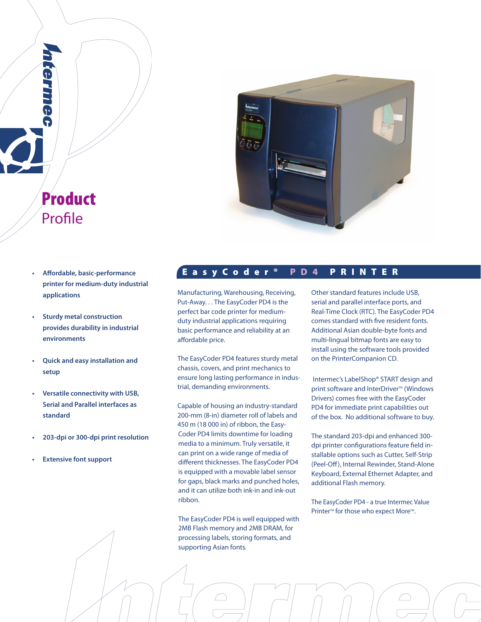

- Product Profile
- **printer for medium-duty industrial applications**
- **Sturdy metal construction provides durability in industrial environments**
- **Quick and easy installation and setup**
- **Versatile connectivity with USB, Serial and Parallel interfaces as standard**
- **203-dpi or 300-dpi print resolution**
- **Extensive font support**

# **• Aff ordable, basic-performance** E a s y C o d e r ® P D 4 P R I N T E R

Manufacturing, Warehousing, Receiving, Put-Away. . . The EasyCoder PD4 is the perfect bar code printer for mediumduty industrial applications requiring basic performance and reliability at an affordable price.

The EasyCoder PD4 features sturdy metal chassis, covers, and print mechanics to ensure long lasting performance in industrial, demanding environments.

Capable of housing an industry-standard 200-mm (8-in) diameter roll of labels and 450 m (18 000 in) of ribbon, the Easy-Coder PD4 limits downtime for loading media to a minimum. Truly versatile, it can print on a wide range of media of different thicknesses. The EasyCoder PD4 is equipped with a movable label sensor for gaps, black marks and punched holes, and it can utilize both ink-in and ink-out ribbon.

The EasyCoder PD4 is well equipped with 2MB Flash memory and 2MB DRAM, for processing labels, storing formats, and supporting Asian fonts.

Other standard features include USB, serial and parallel interface ports, and Real-Time Clock (RTC). The EasyCoder PD4 comes standard with five resident fonts. Additional Asian double-byte fonts and multi-lingual bitmap fonts are easy to install using the software tools provided on the PrinterCompanion CD.

 Intermec's LabelShop® START design and print software and InterDriver<sup>™</sup> (Windows Drivers) comes free with the EasyCoder PD4 for immediate print capabilities out of the box. No additional software to buy.

The standard 203-dpi and enhanced 300 dpi printer configurations feature field installable options such as Cutter, Self-Strip (Peel-Off ), Internal Rewinder, Stand-Alone Keyboard, External Ethernet Adapter, and additional Flash memory.

The EasyCoder PD4 - a true Intermec Value Printer<sup>™</sup> for those who expect More<sup>™</sup>.